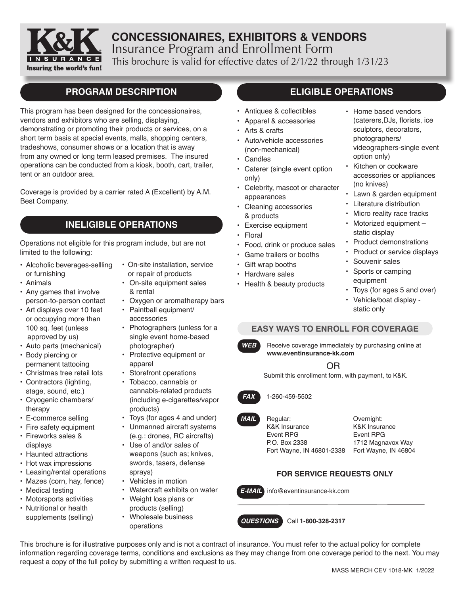

## **CONCESSIONAIRES, EXHIBITORS & VENDORS** Insurance Program and Enrollment Form This brochure is valid for effective dates of 2/1/22 through 1/31/23

## **PROGRAM DESCRIPTION**

This program has been designed for the concessionaires, vendors and exhibitors who are selling, displaying, demonstrating or promoting their products or services, on a short term basis at special events, malls, shopping centers, tradeshows, consumer shows or a location that is away from any owned or long term leased premises. The insured operations can be conducted from a kiosk, booth, cart, trailer, tent or an outdoor area.

Coverage is provided by a carrier rated A (Excellent) by A.M. Best Company.

## **INELIGIBLE OPERATIONS**

Operations not eligible for this program include, but are not limited to the following:

- Alcoholic beverages-sellling or furnishing
- Animals
- Any games that involve person-to-person contact
- Art displays over 10 feet or occupying more than 100 sq. feet (unless approved by us)
- Auto parts (mechanical)
- Body piercing or permanent tattooing
- Christmas tree retail lots
- Contractors (lighting, stage, sound, etc.)
- Cryogenic chambers/ therapy
- E-commerce selling
- Fire safety equipment
- Fireworks sales & displays
- Haunted attractions
- Hot wax impressions
- Leasing/rental operations
- Mazes (corn, hay, fence)
- Medical testing
- Motorsports activities
- Nutritional or health supplements (selling)
- On-site installation, service or repair of products
- On-site equipment sales & rental
- Oxygen or aromatherapy bars
- Paintball equipment/ accessories
- Photographers (unless for a single event home-based photographer)
- Protective equipment or apparel
- Storefront operations
- Tobacco, cannabis or cannabis-related products (including e-cigarettes/vapor products)
- Toys (for ages 4 and under)
- Unmanned aircraft systems (e.g.: drones, RC aircrafts)
- Use of and/or sales of weapons (such as; knives, swords, tasers, defense sprays)
- Vehicles in motion
- Watercraft exhibits on water
- Weight loss plans or products (selling)
- Wholesale business operations

## **ELIGIBLE OPERATIONS**

- Antiques & collectibles
- Apparel & accessories
- Arts & crafts
- Auto/vehicle accessories (non-mechanical)
- Candles
- Caterer (single event option only)
- Celebrity, mascot or character appearances
- Cleaning accessories & products
- Exercise equipment
- Floral
- Food, drink or produce sales
- Game trailers or booths
- Gift wrap booths
- Hardware sales
- Health & beauty products
- Home based vendors (caterers,DJs, florists, ice sculptors, decorators, photographers/ videographers-single event option only)
- Kitchen or cookware accessories or appliances (no knives)
- Lawn & garden equipment
- Literature distribution
- Micro reality race tracks
- Motorized equipment static display
- Product demonstrations
- Product or service displays
- Souvenir sales
- Sports or camping equipment
- Toys (for ages 5 and over)
- Vehicle/boat display static only

### **EASY WAYS TO ENROLL FOR COVERAGE**

**WEB** Receive coverage immediately by purchasing online at **www.eventinsurance-kk.com**

### OR

Submit this enrollment form, with payment, to K&K.



### *FAX* 1-260-459-5502

Regular: K&K Insurance Event RPG P.O. Box 2338 Fort Wayne, IN 46801-2338 *MAIL*

Overnight: K&K Insurance Event RPG 1712 Magnavox Way Fort Wayne, IN 46804

### **FOR SERVICE REQUESTS ONLY**



*E-MAIL* info@eventinsurance-kk.com

### *QUESTIONS* Call **1-800-328-2317**

This brochure is for illustrative purposes only and is not a contract of insurance. You must refer to the actual policy for complete information regarding coverage terms, conditions and exclusions as they may change from one coverage period to the next. You may request a copy of the full policy by submitting a written request to us.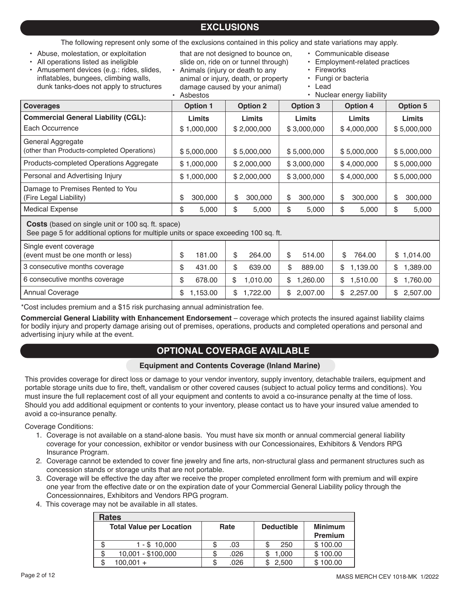## **EXCLUSIONS**

The following represent only some of the exclusions contained in this policy and state variations may apply.

- Abuse, molestation, or exploitation
- All operations listed as ineligible
- Amusement devices (e.g.: rides, slides, inflatables, bungees, climbing walls, dunk tanks-does not apply to structures
- that are not designed to bounce on, slide on, ride on or tunnel through)
- Animals (injury or death to any animal or injury, death, or property damage caused by your animal) • Asbestos
- Communicable disease
- Employment-related practices
- Fireworks
- Fungi or bacteria
- Lead
- Nuclear energy liability

| <b>Coverages</b>                                                                                                                                | <b>Option 2</b><br><b>Option 1</b> |                | Option 3       | <b>Option 4</b> | <b>Option 5</b> |  |  |
|-------------------------------------------------------------------------------------------------------------------------------------------------|------------------------------------|----------------|----------------|-----------------|-----------------|--|--|
| <b>Commercial General Liability (CGL):</b>                                                                                                      | Limits                             | <b>Limits</b>  | <b>Limits</b>  | Limits          | Limits          |  |  |
| Each Occurrence                                                                                                                                 | \$1,000,000                        | \$2,000,000    | \$3,000,000    | \$4,000,000     | \$5,000,000     |  |  |
| General Aggregate<br>(other than Products-completed Operations)                                                                                 | \$5,000,000                        | \$5,000,000    | \$5,000,000    | \$5,000,000     | \$5,000,000     |  |  |
| Products-completed Operations Aggregate                                                                                                         | \$1,000,000                        | \$2,000,000    | \$3,000,000    | \$4,000,000     | \$5,000,000     |  |  |
| Personal and Advertising Injury                                                                                                                 | \$1,000,000                        | \$2,000,000    | \$3,000,000    | \$4,000,000     | \$5,000,000     |  |  |
| Damage to Premises Rented to You<br>(Fire Legal Liability)                                                                                      | \$<br>300,000                      | \$<br>300,000  | \$<br>300,000  | \$<br>300,000   | \$<br>300,000   |  |  |
| <b>Medical Expense</b>                                                                                                                          | \$<br>5,000                        | \$<br>5,000    | \$<br>5,000    | \$<br>5,000     | \$<br>5,000     |  |  |
| <b>Costs</b> (based on single unit or 100 sq. ft. space)<br>See page 5 for additional options for multiple units or space exceeding 100 sq. ft. |                                    |                |                |                 |                 |  |  |
| Single event coverage<br>(event must be one month or less)                                                                                      | \$<br>181.00                       | \$<br>264.00   | \$<br>514.00   | \$<br>764.00    | \$1,014.00      |  |  |
| 3 consecutive months coverage                                                                                                                   | \$<br>431.00                       | \$<br>639.00   | \$<br>889.00   | \$<br>1,139.00  | \$<br>1,389.00  |  |  |
| 6 consecutive months coverage                                                                                                                   | \$<br>678.00                       | \$<br>1,010.00 | 1,260.00<br>\$ | 1,510.00<br>\$  | \$<br>1,760.00  |  |  |

\*Cost includes premium and a \$15 risk purchasing annual administration fee.

**Commercial General Liability with Enhancement Endorsement** – coverage which protects the insured against liability claims for bodily injury and property damage arising out of premises, operations, products and completed operations and personal and advertising injury while at the event.

Annual Coverage 1.153.00 | \$ 1,153.00 | \$ 1,722.00 | \$ 2,007.00 | \$ 2,257.00 | \$ 2,507.00

## **OPTIONAL COVERAGE AVAILABLE**

### **Equipment and Contents Coverage (Inland Marine)**

This provides coverage for direct loss or damage to your vendor inventory, supply inventory, detachable trailers, equipment and portable storage units due to fire, theft, vandalism or other covered causes (subject to actual policy terms and conditions). You must insure the full replacement cost of all your equipment and contents to avoid a co-insurance penalty at the time of loss. Should you add additional equipment or contents to your inventory, please contact us to have your insured value amended to avoid a co-insurance penalty.

Coverage Conditions:

- 1. Coverage is not available on a stand-alone basis. You must have six month or annual commercial general liability coverage for your concession, exhibitor or vendor business with our Concessionaires, Exhibitors & Vendors RPG Insurance Program.
- 2. Coverage cannot be extended to cover fine jewelry and fine arts, non-structural glass and permanent structures such as concession stands or storage units that are not portable.
- 3. Coverage will be effective the day after we receive the proper completed enrollment form with premium and will expire one year from the effective date or on the expiration date of your Commercial General Liability policy through the Concessionnaires, Exhibitors and Vendors RPG program.
- 4. This coverage may not be available in all states.

|                                 | <b>Rates</b>       |      |      |                   |       |                |  |  |  |
|---------------------------------|--------------------|------|------|-------------------|-------|----------------|--|--|--|
| <b>Total Value per Location</b> |                    | Rate |      | <b>Deductible</b> |       | <b>Minimum</b> |  |  |  |
|                                 |                    |      |      |                   |       | <b>Premium</b> |  |  |  |
|                                 | 1 - \$ 10.000      |      | .03  |                   | 250   | \$100.00       |  |  |  |
|                                 | 10,001 - \$100,000 | S    | .026 |                   | 1.000 | \$100.00       |  |  |  |
|                                 | $100.001 +$        | S    | .026 |                   | 2.500 | \$100.00       |  |  |  |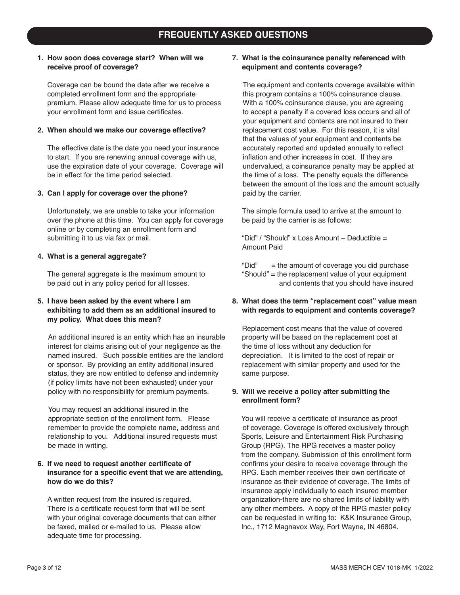#### **1. How soon does coverage start? When will we receive proof of coverage?**

Coverage can be bound the date after we receive a completed enrollment form and the appropriate premium. Please allow adequate time for us to process your enrollment form and issue certificates.

#### **2. When should we make our coverage effective?**

The effective date is the date you need your insurance to start. If you are renewing annual coverage with us, use the expiration date of your coverage. Coverage will be in effect for the time period selected.

#### **3. Can I apply for coverage over the phone?**

Unfortunately, we are unable to take your information over the phone at this time. You can apply for coverage online or by completing an enrollment form and submitting it to us via fax or mail.

#### **4. What is a general aggregate?**

The general aggregate is the maximum amount to be paid out in any policy period for all losses.

#### **5. I have been asked by the event where I am exhibiting to add them as an additional insured to my policy. What does this mean?**

An additional insured is an entity which has an insurable interest for claims arising out of your negligence as the named insured. Such possible entities are the landlord or sponsor. By providing an entity additional insured status, they are now entitled to defense and indemnity (if policy limits have not been exhausted) under your policy with no responsibility for premium payments.

You may request an additional insured in the appropriate section of the enrollment form. Please remember to provide the complete name, address and relationship to you. Additional insured requests must be made in writing.

#### **6. If we need to request another certificate of insurance for a specific event that we are attending, how do we do this?**

A written request from the insured is required. There is a certificate request form that will be sent with your original coverage documents that can either be faxed, mailed or e-mailed to us. Please allow adequate time for processing.

#### **7. What is the coinsurance penalty referenced with equipment and contents coverage?**

The equipment and contents coverage available within this program contains a 100% coinsurance clause. With a 100% coinsurance clause, you are agreeing to accept a penalty if a covered loss occurs and all of your equipment and contents are not insured to their replacement cost value. For this reason, it is vital that the values of your equipment and contents be accurately reported and updated annually to reflect inflation and other increases in cost. If they are undervalued, a coinsurance penalty may be applied at the time of a loss. The penalty equals the difference between the amount of the loss and the amount actually paid by the carrier.

The simple formula used to arrive at the amount to be paid by the carrier is as follows:

"Did" / "Should" x Loss Amount – Deductible = Amount Paid

"Did"  $=$  the amount of coverage you did purchase "Should" = the replacement value of your equipment and contents that you should have insured

#### **8. What does the term "replacement cost" value mean with regards to equipment and contents coverage?**

Replacement cost means that the value of covered property will be based on the replacement cost at the time of loss without any deduction for depreciation. It is limited to the cost of repair or replacement with similar property and used for the same purpose.

#### **9. Will we receive a policy after submitting the enrollment form?**

You will receive a certificate of insurance as proof of coverage. Coverage is offered exclusively through Sports, Leisure and Entertainment Risk Purchasing Group (RPG). The RPG receives a master policy from the company. Submission of this enrollment form confirms your desire to receive coverage through the RPG. Each member receives their own certificate of insurance as their evidence of coverage. The limits of insurance apply individually to each insured member organization-there are no shared limits of liability with any other members. A copy of the RPG master policy can be requested in writing to: K&K Insurance Group, Inc., 1712 Magnavox Way, Fort Wayne, IN 46804.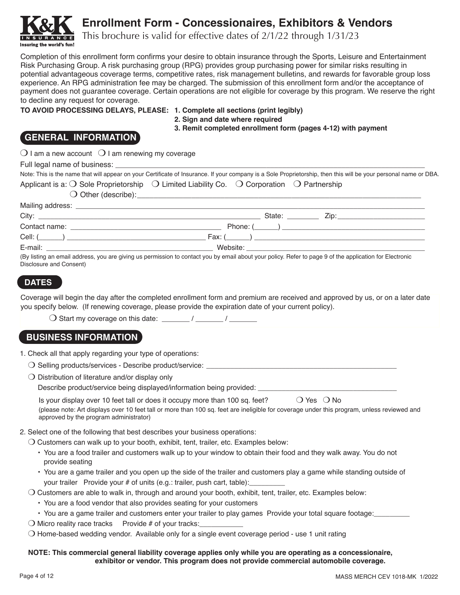

# **Enrollment Form - Concessionaires, Exhibitors & Vendors**

This brochure is valid for effective dates of 2/1/22 through 1/31/23

Completion of this enrollment form confirms your desire to obtain insurance through the Sports, Leisure and Entertainment Risk Purchasing Group. A risk purchasing group (RPG) provides group purchasing power for similar risks resulting in potential advantageous coverage terms, competitive rates, risk management bulletins, and rewards for favorable group loss experience. An RPG administration fee may be charged. The submission of this enrollment form and/or the acceptance of payment does not guarantee coverage. Certain operations are not eligible for coverage by this program. We reserve the right to decline any request for coverage.

**TO AVOID PROCESSING DELAYS, PLEASE: 1. Complete all sections (print legibly)**

**2. Sign and date where required**

**3. Remit completed enrollment form (pages 4-12) with payment**

## **GENERAL INFORMATION**

 $\bigcirc$  I am a new account  $\bigcirc$  I am renewing my coverage

|                                                                                                                                                                                                                                           |                                                                                                                                                                                                                                      | Note: This is the name that will appear on your Certificate of Insurance. If your company is a Sole Proprietorship, then this will be your personal name or DBA. |
|-------------------------------------------------------------------------------------------------------------------------------------------------------------------------------------------------------------------------------------------|--------------------------------------------------------------------------------------------------------------------------------------------------------------------------------------------------------------------------------------|------------------------------------------------------------------------------------------------------------------------------------------------------------------|
| Applicant is a: O Sole Proprietorship O Limited Liability Co. O Corporation O Partnership                                                                                                                                                 |                                                                                                                                                                                                                                      |                                                                                                                                                                  |
|                                                                                                                                                                                                                                           | O Other (describe): <u>contract and contract and contract and contract and contract and contract and contract and contract and contract and contract and contract and contract and contract and contract and contract and contra</u> |                                                                                                                                                                  |
|                                                                                                                                                                                                                                           |                                                                                                                                                                                                                                      |                                                                                                                                                                  |
|                                                                                                                                                                                                                                           |                                                                                                                                                                                                                                      |                                                                                                                                                                  |
|                                                                                                                                                                                                                                           |                                                                                                                                                                                                                                      |                                                                                                                                                                  |
|                                                                                                                                                                                                                                           |                                                                                                                                                                                                                                      |                                                                                                                                                                  |
|                                                                                                                                                                                                                                           |                                                                                                                                                                                                                                      |                                                                                                                                                                  |
| $\overline{a}$ , and the state of the state of the state $\overline{a}$ , and the state of the state of the state of the state of the state of the state of the state of the state of the state of the state of the state of the state of |                                                                                                                                                                                                                                      |                                                                                                                                                                  |

(By listing an email address, you are giving us permission to contact you by email about your policy. Refer to page 9 of the application for Electronic Disclosure and Consent)

### **DATES**

Coverage will begin the day after the completed enrollment form and premium are received and approved by us, or on a later date you specify below. (If renewing coverage, please provide the expiration date of your current policy).

 $\bigcirc$  Start my coverage on this date: \_\_\_\_\_\_\_ / \_\_\_\_\_\_\_ / \_\_

## **BUSINESS INFORMATION**

- 1. Check all that apply regarding your type of operations:
	- $\bigcirc$  Selling products/services Describe product/service:
	- $\bigcirc$  Distribution of literature and/or display only

Describe product/service being displayed/information being provided: \_\_\_\_\_\_\_\_\_\_\_

Is your display over 10 feet tall or does it occupy more than 100 sq. feet?  $\bigcirc$  Yes  $\bigcirc$  No (please note: Art displays over 10 feet tall or more than 100 sq. feet are ineligible for coverage under this program, unless reviewed and approved by the program administrator)

#### 2. Select one of the following that best describes your business operations:

- $\bigcirc$  Customers can walk up to your booth, exhibit, tent, trailer, etc. Examples below:
	- You are a food trailer and customers walk up to your window to obtain their food and they walk away. You do not provide seating
	- You are a game trailer and you open up the side of the trailer and customers play a game while standing outside of your trailer Provide your # of units (e.g.: trailer, push cart, table):
- $\bigcirc$  Customers are able to walk in, through and around your booth, exhibit, tent, trailer, etc. Examples below:
	- You are a food vendor that also provides seating for your customers
	- You are a game trailer and customers enter your trailer to play games Provide your total square footage:
- $\bigcirc$  Micro reality race tracks Provide # of your tracks:
- $\bigcirc$  Home-based wedding vendor. Available only for a single event coverage period use 1 unit rating

#### **NOTE: This commercial general liability coverage applies only while you are operating as a concessionaire, exhibitor or vendor. This program does not provide commercial automobile coverage.**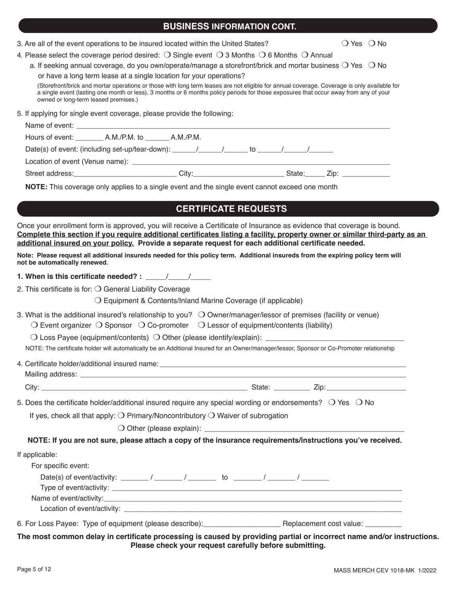| <b>BUSINESS INFORMATION CONT.</b> |  |
|-----------------------------------|--|
|-----------------------------------|--|

| 3. Are all of the event operations to be insured located within the United States? | $\bigcirc$ Yes $\bigcirc$ No |
|------------------------------------------------------------------------------------|------------------------------|
|------------------------------------------------------------------------------------|------------------------------|

4. Please select the coverage period desired:  $\bigcirc$  Single event  $\bigcirc$  3 Months  $\bigcirc$  6 Months  $\bigcirc$  Annual

a. If seeking annual coverage, do you own/operate/manage a storefront/brick and mortar business  $\bigcirc$  Yes  $\bigcirc$  No

or have a long term lease at a single location for your operations?

 (Storefront/brick and mortar operations or those with long term leases are not eligible for annual coverage. Coverage is only available for a single event (lasting one month or less), 3 months or 6 months policy periods for those exposures that occur away from any of your owned or long-term leased premises.)

5. If applying for single event coverage, please provide the following:

| Date(s) of event: (including set-up/tear-down): $\sqrt{2}$ / $\sqrt{2}$ to $\sqrt{2}$ / $\sqrt{2}$ |                                                                                                                                                                                                                                |  |  |  |             |  |
|----------------------------------------------------------------------------------------------------|--------------------------------------------------------------------------------------------------------------------------------------------------------------------------------------------------------------------------------|--|--|--|-------------|--|
|                                                                                                    |                                                                                                                                                                                                                                |  |  |  |             |  |
|                                                                                                    | City: the contract of the contract of the contract of the contract of the contract of the contract of the contract of the contract of the contract of the contract of the contract of the contract of the contract of the cont |  |  |  | State: Zip: |  |

**NOTE:** This coverage only applies to a single event and the single event cannot exceed one month

## **CERTIFICATE REQUESTS**

Once your enrollment form is approved, you will receive a Certificate of Insurance as evidence that coverage is bound. Complete this section if you require additional certificates listing a facility, property owner or similar third-party as an **additional insured on your policy. Provide a separate request for each additional certificate needed.** 

**Note: Please request all additional insureds needed for this policy term. Additional insureds from the expiring policy term will not be automatically renewed.** 

**1. When is this certificate needed? :** \_\_\_\_\_/\_\_\_\_\_/\_\_\_\_\_

2. This certificate is for:  $\bigcirc$  General Liability Coverage

 $\bigcirc$  Equipment & Contents/Inland Marine Coverage (if applicable)

3. What is the additional insured's relationship to you?  $\bigcirc$  Owner/manager/lessor of premises (facility or venue)

 $\bigcirc$  Event organizer  $\bigcirc$  Sponsor  $\bigcirc$  Co-promoter  $\bigcirc$  Lessor of equipment/contents (liability)

 $\bigcirc$  Loss Payee (equipment/contents)  $\bigcirc$  Other (please identify/explain):

NOTE: The certificate holder will automatically be an Additional Insured for an Owner/manager/lessor, Sponsor or Co-Promoter relationship

| 4. Certificate holder/additional insured name: |  |
|------------------------------------------------|--|
|                                                |  |

Mailing address:

City: \_\_\_\_\_\_\_\_\_\_\_\_\_\_\_\_\_\_\_\_\_\_\_\_\_\_\_\_\_\_\_\_\_\_\_\_\_\_\_\_\_\_\_\_\_\_\_\_\_\_\_\_ State: \_\_\_\_\_\_\_\_\_ Zip:\_\_\_\_\_\_\_\_\_\_\_\_\_\_\_\_\_\_\_\_

5. Does the certificate holder/additional insured require any special wording or endorsements?  $\circ$  Yes  $\circ$  No

If yes, check all that apply:  $\bigcirc$  Primary/Noncontributory  $\bigcirc$  Waiver of subrogation

 $\bigcirc$  Other (please explain):

**NOTE: If you are not sure, please attach a copy of the insurance requirements/instructions you've received.**

If applicable:

| For specific event:                                                                      |  |    |  |  |
|------------------------------------------------------------------------------------------|--|----|--|--|
| Date(s) of event/activity: $\frac{1}{2}$ / $\frac{1}{2}$ / $\frac{1}{2}$ / $\frac{1}{2}$ |  | to |  |  |
|                                                                                          |  |    |  |  |
| Name of event/activity:                                                                  |  |    |  |  |
| Location of event/activity:                                                              |  |    |  |  |
|                                                                                          |  |    |  |  |

6. For Loss Payee: Type of equipment (please describe): \_\_\_\_\_\_\_\_\_\_\_\_\_\_\_\_\_\_\_\_\_\_\_\_\_ Replacement cost value: \_\_\_

The most common delay in certificate processing is caused by providing partial or incorrect name and/or instructions. **Please check your request carefully before submitting.**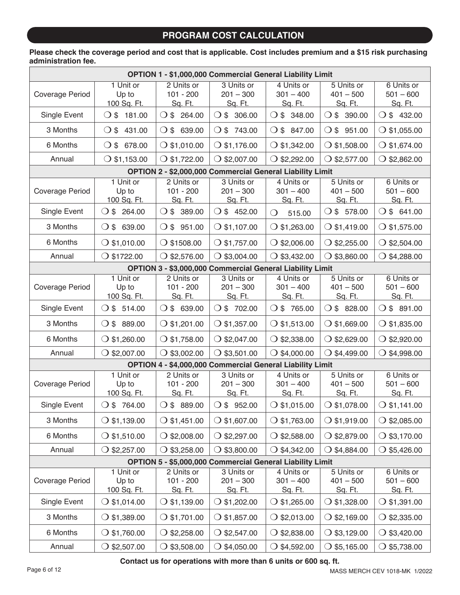## **PROGRAM COST CALCULATION**

### **Please check the coverage period and cost that is applicable. Cost includes premium and a \$15 risk purchasing administration fee.**

|                 |                           |                                 | OPTION 1 - \$1,000,000 Commercial General Liability Limit        |                           |                                  |                           |
|-----------------|---------------------------|---------------------------------|------------------------------------------------------------------|---------------------------|----------------------------------|---------------------------|
|                 | 1 Unit or                 | 2 Units or                      | 3 Units or                                                       | 4 Units or                | 5 Units or                       | 6 Units or                |
| Coverage Period | Up to<br>100 Sq. Ft.      | $101 - 200$<br>Sq. Ft.          | $201 - 300$<br>Sq. Ft.                                           | $301 - 400$<br>Sq. Ft.    | $401 - 500$<br>Sq. Ft.           | $501 - 600$<br>Sq. Ft.    |
| Single Event    | $O$ \$ 181.00             | $O $3$ 264.00                   | O \$306.00                                                       | $O $$ 348.00              | $\bigcirc$ \$ 390.00             | $\bigcirc$ \$ 432.00      |
| 3 Months        | 431.00<br>$\bigcirc$ \$   | $\bigcirc$ \$ 639.00            | $O $$ 743.00                                                     | $\bigcirc$ \$<br>847.00   | $\bigcirc$ \$<br>951.00          | $\bigcirc$ \$1,055.00     |
| 6 Months        | $O $$ 678.00              | $\bigcirc$ \$1,010.00           | $O$ \$1,176.00                                                   | $\bigcirc$ \$1,342.00     | $\bigcirc$ \$1,508.00            | $O$ \$1,674.00            |
| Annual          | $\bigcirc$ \$1,153.00     | $\bigcirc$ \$1,722.00           | $O$ \$2,007.00                                                   | $\bigcirc$ \$2,292.00     | \$2,577.00<br>$\left( \ \right)$ | $\bigcirc$ \$2,862.00     |
|                 |                           |                                 | OPTION 2 - \$2,000,000 Commercial General Liability Limit        |                           |                                  |                           |
|                 | 1 Unit or                 | 2 Units or                      | 3 Units or                                                       | 4 Units or                | 5 Units or                       | 6 Units or                |
| Coverage Period | Up to<br>100 Sq. Ft.      | $101 - 200$<br>Sq. Ft.          | $201 - 300$<br>Sq. Ft.                                           | $301 - 400$<br>Sq. Ft.    | $401 - 500$<br>Sq. Ft.           | $501 - 600$<br>Sq. Ft.    |
| Single Event    | 264.00<br>$\bigcirc$ \$   | $\bigcirc$ \$ 389.00            | O \$452.00                                                       | $\bigcirc$<br>515.00      | $O $$ 578.00                     | $O $$ 641.00              |
| 3 Months        | $\bigcirc$ \$<br>639.00   | $O $$ 951.00                    | $\bigcirc$ \$1,107.00                                            | $\bigcirc$ \$1,263.00     | $\bigcirc$ \$1,419.00            | $\bigcirc$ \$1,575.00     |
| 6 Months        | $\bigcirc$ \$1,010.00     | $\bigcirc$ \$1508.00            | $\bigcirc$ \$1,757.00                                            | $\bigcirc$ \$2,006.00     | $\bigcirc$ \$2,255.00            | $\bigcirc$ \$2,504.00     |
| Annual          | $\bigcirc$ \$1722.00      | $\bigcirc$ \$2,576.00           | $\bigcirc$ \$3,004.00                                            | $\bigcirc$ \$3,432.00     | \$3,860.00                       | $\bigcirc$ \$4,288.00     |
|                 |                           |                                 | OPTION 3 - \$3,000,000 Commercial General Liability Limit        |                           |                                  |                           |
|                 | 1 Unit or                 | 2 Units or                      | 3 Units or                                                       | 4 Units or                | 5 Units or                       | 6 Units or                |
| Coverage Period | Up to                     | $101 - 200$                     | $201 - 300$                                                      | $301 - 400$               | $401 - 500$                      | $501 - 600$               |
|                 | 100 Sq. Ft.               | Sq. Ft.                         | Sq. Ft.                                                          | Sq. Ft.                   | Sq. Ft.                          | Sq. Ft.                   |
| Single Event    | $O $$ 514.00              | $\bigcirc$ \$ 639.00            | O \$702.00                                                       | O \$765.00                | $\bigcirc$ \$ 828.00             | $\bigcirc$ \$ 891.00      |
| 3 Months        | $\bigcirc$ \$ 889.00      | $\bigcirc$ \$1,201.00           | $\bigcirc$ \$1,357.00                                            | $\bigcirc$ \$1,513.00     | $\bigcirc$ \$1,669.00            | $\bigcirc$ \$1,835.00     |
| 6 Months        | $\bigcirc$ \$1,260.00     | $\bigcirc$ \$1,758.00           | $\bigcirc$ \$2,047.00                                            | $\bigcirc$ \$2,338.00     | $\bigcirc$ \$2,629.00            | $\bigcirc$ \$2,920.00     |
| Annual          | $\bigcirc$ \$2,007.00     | $\bigcirc$ \$3,002.00           | $\bigcirc$ \$3,501.00                                            | $\bigcirc$ \$4,000.00     | \$4,499.00<br>◯                  | $\bigcirc$ \$4,998.00     |
|                 |                           |                                 | <b>OPTION 4 - \$4,000,000 Commercial General Liability Limit</b> |                           |                                  |                           |
|                 | 1 Unit or                 | 2 Units or                      | 3 Units or                                                       | 4 Units or                | $\overline{5}$ Units or          | 6 Units or                |
| Coverage Period | Up to                     | $101 - 200$                     | $201 - 300$                                                      | $301 - 400$               | $401 - 500$                      | $501 - 600$               |
| Single Event    | 100 Sq. Ft.<br>O \$764.00 | Sq. Ft.<br>$\bigcirc$ \$ 889.00 | Sq. Ft.<br>$\bigcirc$ \$ 952.00                                  | Sq. Ft.<br>$O$ \$1,015.00 | Sq. Ft.<br>$\bigcirc$ \$1,078.00 | Sq. Ft.<br>$O$ \$1,141.00 |
| 3 Months        | $\bigcirc$ \$1,139.00     | $\bigcirc$ \$1,451.00           | $\bigcirc$ \$1,607.00                                            | $\bigcirc$ \$1,763.00     | $\bigcirc$ \$1,919.00            | $\bigcirc$ \$2,085.00     |
| 6 Months        | $\bigcirc$ \$1,510.00     | $\bigcirc$ \$2,008.00           | $\bigcirc$ \$2,297.00                                            | $\bigcirc$ \$2,588.00     | $\bigcirc$ \$2,879.00            | $\bigcirc$ \$3,170.00     |
| Annual          | $\bigcirc$ \$2,257.00     | $\bigcirc$ \$3,258.00           | $\bigcirc$ \$3,800.00                                            | $\bigcirc$ \$4,342.00     | \$4,884.00<br>$\left( \right)$   | $\bigcirc$ \$5,426.00     |
|                 |                           |                                 | OPTION 5 - \$5,000,000 Commercial General Liability Limit        |                           |                                  |                           |
|                 | 1 Unit or                 | 2 Units or                      | 3 Units or                                                       | 4 Units or                | 5 Units or                       | 6 Units or                |
| Coverage Period | Up to                     | $101 - 200$                     | $201 - 300$                                                      | $301 - 400$               | $401 - 500$                      | $501 - 600$               |
|                 | 100 Sq. Ft.               | Sq. Ft.                         | Sq. Ft.                                                          | Sq. Ft.                   | Sq. Ft.                          | Sq. Ft.                   |
| Single Event    | $O$ \$1,014.00            | $\bigcirc$ \$1,139.00           | $\bigcirc$ \$1,202.00                                            | \$1,265.00                | $\bigcirc$ \$1,328.00            | $\bigcirc$ \$1,391.00     |
| 3 Months        | $\bigcirc$ \$1,389.00     | $\bigcirc$ \$1,701.00           | $\bigcirc$ \$1,857.00                                            | $\bigcirc$ \$2,013.00     | $\bigcirc$ \$2,169.00            | $\bigcirc$ \$2,335.00     |
| 6 Months        | $\bigcirc$ \$1,760.00     | $\bigcirc$ \$2,258.00           | $\bigcirc$ \$2,547.00                                            | $\bigcirc$ \$2,838.00     | $\bigcirc$ \$3,129.00            | $\bigcirc$ \$3,420.00     |
| Annual          | $\bigcirc$ \$2,507.00     | $\bigcirc$ \$3,508.00           | $\bigcirc$ \$4,050.00                                            | $\bigcirc$ \$4,592.00     | \$5,165.00<br>$\bigcirc$         | $\bigcirc$ \$5,738.00     |

**Contact us for operations with more than 6 units or 600 sq. ft.**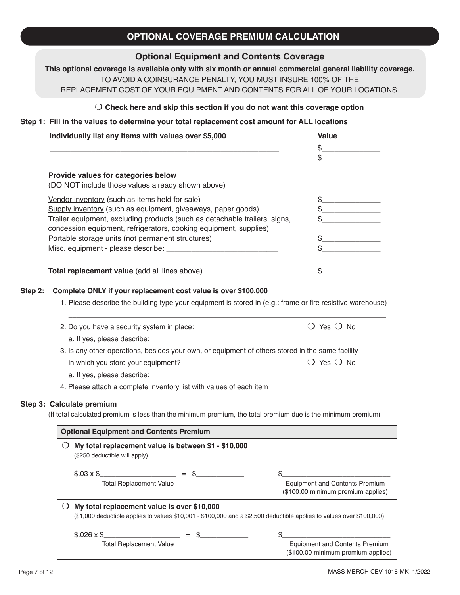# **OPTIONAL COVERAGE PREMIUM CALCULATION**

### **Optional Equipment and Contents Coverage**

**This optional coverage is available only with six month or annual commercial general liability coverage.** TO AVOID A COINSURANCE PENALTY, YOU MUST INSURE 100% OF THE REPLACEMENT COST OF YOUR EQUIPMENT AND CONTENTS FOR ALL OF YOUR LOCATIONS.

### m **Check here and skip this section if you do not want this coverage option**

#### **Step 1: Fill in the values to determine your total replacement cost amount for ALL locations**

| Individually list any items with values over \$5,000                       | <b>Value</b> |
|----------------------------------------------------------------------------|--------------|
|                                                                            |              |
|                                                                            |              |
| Provide values for categories below                                        |              |
| (DO NOT include those values already shown above)                          |              |
| Vendor inventory (such as items held for sale)                             |              |
| Supply inventory (such as equipment, giveaways, paper goods)               |              |
| Trailer equipment, excluding products (such as detachable trailers, signs, |              |
| concession equipment, refrigerators, cooking equipment, supplies)          |              |
| Portable storage units (not permanent structures)                          |              |
| Misc. equipment - please describe: __________                              |              |
| Total replacement value (add all lines above)                              |              |

1. Please describe the building type your equipment is stored in (e.g.: frame or fire resistive warehouse)

| 2. Do you have a security system in place:                                                       | $()$ Yes $()$ No |
|--------------------------------------------------------------------------------------------------|------------------|
| a. If yes, please describe:                                                                      |                  |
| 3. Is any other operations, besides your own, or equipment of others stored in the same facility |                  |
| in which you store your equipment?                                                               | $()$ Yes $()$ No |
|                                                                                                  |                  |

4. Please attach a complete inventory list with values of each item

#### **Step 3: Calculate premium**

(If total calculated premium is less than the minimum premium, the total premium due is the minimum premium)

| <b>Optional Equipment and Contents Premium</b>                                                                                   |  |  |  |                                                                             |  |
|----------------------------------------------------------------------------------------------------------------------------------|--|--|--|-----------------------------------------------------------------------------|--|
| My total replacement value is between \$1 - \$10,000<br>(\$250 deductible will apply)                                            |  |  |  |                                                                             |  |
| $$.03 \times $$ = \$                                                                                                             |  |  |  |                                                                             |  |
| <b>Total Replacement Value</b>                                                                                                   |  |  |  | Equipment and Contents Premium<br>(\$100.00 minimum premium applies)        |  |
| My total replacement value is over \$10,000                                                                                      |  |  |  |                                                                             |  |
| $(\$1,000$ deductible applies to values $\$10,001$ - $\$100,000$ and a $\$2,500$ deductible applies to values over $\$100,000$ ) |  |  |  |                                                                             |  |
| $$.026 \times $$ = \$                                                                                                            |  |  |  |                                                                             |  |
| <b>Total Replacement Value</b>                                                                                                   |  |  |  | <b>Equipment and Contents Premium</b><br>(\$100.00 minimum premium applies) |  |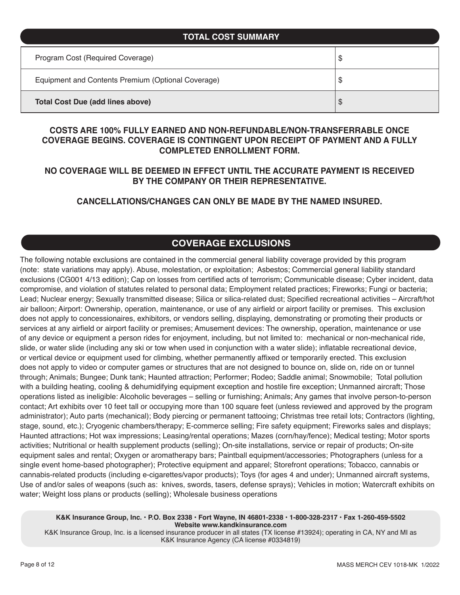| <b>TOTAL COST SUMMARY</b>                          |    |
|----------------------------------------------------|----|
| Program Cost (Required Coverage)                   | \$ |
| Equipment and Contents Premium (Optional Coverage) | \$ |
| <b>Total Cost Due (add lines above)</b>            | \$ |

### **COSTS ARE 100% FULLY EARNED AND NON-REFUNDABLE/NON-TRANSFERRABLE ONCE COVERAGE BEGINS. COVERAGE IS CONTINGENT UPON RECEIPT OF PAYMENT AND A FULLY COMPLETED ENROLLMENT FORM.**

### **NO COVERAGE WILL BE DEEMED IN EFFECT UNTIL THE ACCURATE PAYMENT IS RECEIVED BY THE COMPANY OR THEIR REPRESENTATIVE.**

### **CANCELLATIONS/CHANGES CAN ONLY BE MADE BY THE NAMED INSURED.**

## **COVERAGE EXCLUSIONS**

The following notable exclusions are contained in the commercial general liability coverage provided by this program (note: state variations may apply). Abuse, molestation, or exploitation; Asbestos; Commercial general liability standard exclusions (CG001 4/13 edition); Cap on losses from certified acts of terrorism; Communicable disease; Cyber incident, data compromise, and violation of statutes related to personal data; Employment related practices; Fireworks; Fungi or bacteria; Lead; Nuclear energy; Sexually transmitted disease; Silica or silica-related dust; Specified recreational activities – Aircraft/hot air balloon; Airport: Ownership, operation, maintenance, or use of any airfield or airport facility or premises. This exclusion does not apply to concessionaires, exhibitors, or vendors selling, displaying, demonstrating or promoting their products or services at any airfield or airport facility or premises; Amusement devices: The ownership, operation, maintenance or use of any device or equipment a person rides for enjoyment, including, but not limited to: mechanical or non-mechanical ride, slide, or water slide (including any ski or tow when used in conjunction with a water slide); inflatable recreational device, or vertical device or equipment used for climbing, whether permanently affixed or temporarily erected. This exclusion does not apply to video or computer games or structures that are not designed to bounce on, slide on, ride on or tunnel through; Animals; Bungee; Dunk tank; Haunted attraction; Performer; Rodeo; Saddle animal; Snowmobile; Total pollution with a building heating, cooling & dehumidifying equipment exception and hostile fire exception; Unmanned aircraft; Those operations listed as ineligible: Alcoholic beverages – selling or furnishing; Animals; Any games that involve person-to-person contact; Art exhibits over 10 feet tall or occupying more than 100 square feet (unless reviewed and approved by the program administrator); Auto parts (mechanical); Body piercing or permanent tattooing; Christmas tree retail lots; Contractors (lighting, stage, sound, etc.); Cryogenic chambers/therapy; E-commerce selling; Fire safety equipment; Fireworks sales and displays; Haunted attractions; Hot wax impressions; Leasing/rental operations; Mazes (corn/hay/fence); Medical testing; Motor sports activities; Nutritional or health supplement products (selling); On-site installations, service or repair of products; On-site equipment sales and rental; Oxygen or aromatherapy bars; Paintball equipment/accessories; Photographers (unless for a single event home-based photographer); Protective equipment and apparel; Storefront operations; Tobacco, cannabis or cannabis-related products (including e-cigarettes/vapor products); Toys (for ages 4 and under); Unmanned aircraft systems, Use of and/or sales of weapons (such as: knives, swords, tasers, defense sprays); Vehicles in motion; Watercraft exhibits on water; Weight loss plans or products (selling); Wholesale business operations

**K&K Insurance Group, Inc. • P.O. Box 2338 • Fort Wayne, IN 46801-2338 • 1-800-328-2317 • Fax 1-260-459-5502 Website www.kandkinsurance.com**

K&K Insurance Group, Inc. is a licensed insurance producer in all states (TX license #13924); operating in CA, NY and MI as K&K Insurance Agency (CA license #0334819)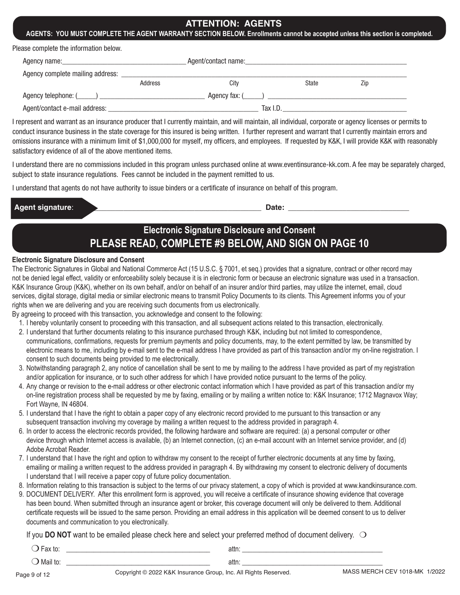### **ATTENTION: AGENTS**

#### **AGENTS: YOU MUST COMPLETE THE AGENT WARRANTY SECTION BELOW. Enrollments cannot be accepted unless this section is completed.**

Please complete the information below.

| Agent/contact name:<br>Agency name: Agency name: |         |          |              |     |  |
|--------------------------------------------------|---------|----------|--------------|-----|--|
| Agency complete mailing address:                 |         |          |              |     |  |
|                                                  | Address | Citv     | <b>State</b> | Zip |  |
|                                                  |         |          |              |     |  |
| Agent/contact e-mail address:                    |         | Tax I.D. |              |     |  |

I represent and warrant as an insurance producer that I currently maintain, and will maintain, all individual, corporate or agency licenses or permits to conduct insurance business in the state coverage for this insured is being written. I further represent and warrant that I currently maintain errors and omissions insurance with a minimum limit of \$1,000,000 for myself, my officers, and employees. If requested by K&K, I will provide K&K with reasonably satisfactory evidence of all of the above mentioned items.

I understand there are no commissions included in this program unless purchased online at www.eventinsurance-kk.com. A fee may be separately charged, subject to state insurance regulations. Fees cannot be included in the payment remitted to us.

I understand that agents do not have authority to issue binders or a certificate of insurance on behalf of this program.

| <b>Agent</b><br>$P^{\prime}$<br>יי ד | - 11<br><br>ะแ⊽ |  |
|--------------------------------------|-----------------|--|
|                                      |                 |  |

# **Electronic Signature Disclosure and Consent PLEASE READ, COMPLETE #9 BELOW, AND SIGN ON PAGE 10**

#### **Electronic Signature Disclosure and Consent**

The Electronic Signatures in Global and National Commerce Act (15 U.S.C. § 7001, et seq.) provides that a signature, contract or other record may not be denied legal effect, validity or enforceability solely because it is in electronic form or because an electronic signature was used in a transaction. K&K Insurance Group (K&K), whether on its own behalf, and/or on behalf of an insurer and/or third parties, may utilize the internet, email, cloud services, digital storage, digital media or similar electronic means to transmit Policy Documents to its clients. This Agreement informs you of your rights when we are delivering and you are receiving such documents from us electronically.

By agreeing to proceed with this transaction, you acknowledge and consent to the following:

- 1. I hereby voluntarily consent to proceeding with this transaction, and all subsequent actions related to this transaction, electronically.
- 2. I understand that further documents relating to this insurance purchased through K&K, including but not limited to correspondence, communications, confirmations, requests for premium payments and policy documents, may, to the extent permitted by law, be transmitted by electronic means to me, including by e-mail sent to the e-mail address I have provided as part of this transaction and/or my on-line registration. I consent to such documents being provided to me electronically.
- 3. Notwithstanding paragraph 2, any notice of cancellation shall be sent to me by mailing to the address I have provided as part of my registration and/or application for insurance, or to such other address for which I have provided notice pursuant to the terms of the policy.
- 4. Any change or revision to the e-mail address or other electronic contact information which I have provided as part of this transaction and/or my on-line registration process shall be requested by me by faxing, emailing or by mailing a written notice to: K&K Insurance; 1712 Magnavox Way; Fort Wayne, IN 46804.
- 5. I understand that I have the right to obtain a paper copy of any electronic record provided to me pursuant to this transaction or any subsequent transaction involving my coverage by mailing a written request to the address provided in paragraph 4.
- 6. In order to access the electronic records provided, the following hardware and software are required: (a) a personal computer or other device through which Internet access is available, (b) an Internet connection, (c) an e-mail account with an Internet service provider, and (d) Adobe Acrobat Reader.
- 7. I understand that I have the right and option to withdraw my consent to the receipt of further electronic documents at any time by faxing, emailing or mailing a written request to the address provided in paragraph 4. By withdrawing my consent to electronic delivery of documents I understand that I will receive a paper copy of future policy documentation.
- 8. Information relating to this transaction is subject to the terms of our privacy statement, a copy of which is provided at www.kandkinsurance.com.
- 9. DOCUMENT DELIVERY. After this enrollment form is approved, you will receive a certificate of insurance showing evidence that coverage has been bound. When submitted through an insurance agent or broker, this coverage document will only be delivered to them. Additional certificate requests will be issued to the same person. Providing an email address in this application will be deemed consent to us to deliver documents and communication to you electronically.

If you **DO NOT** want to be emailed please check here and select your preferred method of document delivery.  $\bigcirc$ 

| . | attn |
|---|------|
|   | attr |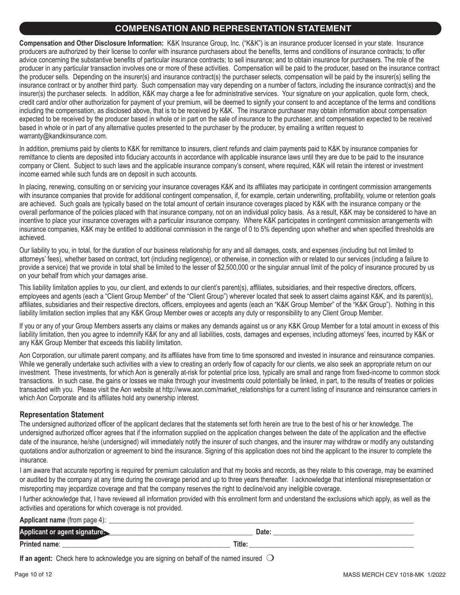### **COMPENSATION AND REPRESENTATION STATEMENT**

**Compensation and Other Disclosure Information:** K&K Insurance Group, Inc. ("K&K") is an insurance producer licensed in your state. Insurance producers are authorized by their license to confer with insurance purchasers about the benefits, terms and conditions of insurance contracts; to offer advice concerning the substantive benefits of particular insurance contracts; to sell insurance; and to obtain insurance for purchasers. The role of the producer in any particular transaction involves one or more of these activities. Compensation will be paid to the producer, based on the insurance contract the producer sells. Depending on the insurer(s) and insurance contract(s) the purchaser selects, compensation will be paid by the insurer(s) selling the insurance contract or by another third party. Such compensation may vary depending on a number of factors, including the insurance contract(s) and the insurer(s) the purchaser selects. In addition, K&K may charge a fee for administrative services. Your signature on your application, quote form, check, credit card and/or other authorization for payment of your premium, will be deemed to signify your consent to and acceptance of the terms and conditions including the compensation, as disclosed above, that is to be received by K&K. The insurance purchaser may obtain information about compensation expected to be received by the producer based in whole or in part on the sale of insurance to the purchaser, and compensation expected to be received based in whole or in part of any alternative quotes presented to the purchaser by the producer, by emailing a written request to warranty@kandkinsurance.com.

In addition, premiums paid by clients to K&K for remittance to insurers, client refunds and claim payments paid to K&K by insurance companies for remittance to clients are deposited into fiduciary accounts in accordance with applicable insurance laws until they are due to be paid to the insurance company or Client. Subject to such laws and the applicable insurance company's consent, where required, K&K will retain the interest or investment income earned while such funds are on deposit in such accounts.

In placing, renewing, consulting on or servicing your insurance coverages K&K and its affiliates may participate in contingent commission arrangements with insurance companies that provide for additional contingent compensation, if, for example, certain underwriting, profitability, volume or retention goals are achieved. Such goals are typically based on the total amount of certain insurance coverages placed by K&K with the insurance company or the overall performance of the policies placed with that insurance company, not on an individual policy basis. As a result, K&K may be considered to have an incentive to place your insurance coverages with a particular insurance company. Where K&K participates in contingent commission arrangements with insurance companies, K&K may be entitled to additional commission in the range of 0 to 5% depending upon whether and when specified thresholds are achieved.

Our liability to you, in total, for the duration of our business relationship for any and all damages, costs, and expenses (including but not limited to attorneys' fees), whether based on contract, tort (including negligence), or otherwise, in connection with or related to our services (including a failure to provide a service) that we provide in total shall be limited to the lesser of \$2,500,000 or the singular annual limit of the policy of insurance procured by us on your behalf from which your damages arise.

This liability limitation applies to you, our client, and extends to our client's parent(s), affiliates, subsidiaries, and their respective directors, officers, employees and agents (each a "Client Group Member" of the "Client Group") wherever located that seek to assert claims against K&K, and its parent(s), affiliates, subsidiaries and their respective directors, officers, employees and agents (each an "K&K Group Member" of the "K&K Group"). Nothing in this liability limitation section implies that any K&K Group Member owes or accepts any duty or responsibility to any Client Group Member.

If you or any of your Group Members asserts any claims or makes any demands against us or any K&K Group Member for a total amount in excess of this liability limitation, then you agree to indemnify K&K for any and all liabilities, costs, damages and expenses, including attorneys' fees, incurred by K&K or any K&K Group Member that exceeds this liability limitation.

Aon Corporation, our ultimate parent company, and its affiliates have from time to time sponsored and invested in insurance and reinsurance companies. While we generally undertake such activities with a view to creating an orderly flow of capacity for our clients, we also seek an appropriate return on our investment. These investments, for which Aon is generally at-risk for potential price loss, typically are small and range from fixed-income to common stock transactions. In such case, the gains or losses we make through your investments could potentially be linked, in part, to the results of treaties or policies transacted with you. Please visit the Aon website at http://www.aon.com/market\_relationships for a current listing of insurance and reinsurance carriers in which Aon Corporate and its affiliates hold any ownership interest.

### **Representation Statement**

The undersigned authorized officer of the applicant declares that the statements set forth herein are true to the best of his or her knowledge. The undersigned authorized officer agrees that if the information supplied on the application changes between the date of the application and the effective date of the insurance, he/she (undersigned) will immediately notify the insurer of such changes, and the insurer may withdraw or modify any outstanding quotations and/or authorization or agreement to bind the insurance. Signing of this application does not bind the applicant to the insurer to complete the insurance.

I am aware that accurate reporting is required for premium calculation and that my books and records, as they relate to this coverage, may be examined or audited by the company at any time during the coverage period and up to three years thereafter. I acknowledge that intentional misrepresentation or misreporting may jeopardize coverage and that the company reserves the right to decline/void any ineligible coverage.

I further acknowledge that, I have reviewed all information provided with this enrollment form and understand the exclusions which apply, as well as the activities and operations for which coverage is not provided.

### **Applicant name** (from page 4): \_\_\_\_\_\_\_ **Applicant or agent signature:\_\_\_\_\_\_\_\_\_\_\_\_\_\_\_\_\_\_\_\_\_\_\_\_\_\_\_\_\_\_\_\_\_\_\_\_\_\_\_\_\_\_\_ Date:** \_\_\_\_\_\_\_\_\_\_\_\_\_\_\_\_\_\_\_\_\_\_\_\_\_\_\_\_\_\_\_\_\_\_\_\_\_\_\_\_\_ **Printed name**: \_\_\_\_\_\_\_\_\_\_\_\_\_\_\_\_\_\_\_\_\_\_\_\_\_\_\_\_\_\_\_\_\_\_\_\_\_\_\_\_\_\_\_\_\_\_\_\_\_ **Title:** \_\_\_\_\_\_\_\_\_\_\_\_\_\_\_\_\_\_\_\_\_\_\_\_\_\_\_\_\_\_\_\_\_\_\_\_\_\_\_\_\_\_\_\_\_\_\_\_

**If an agent:** Check here to acknowledge you are signing on behalf of the named insured  $\bigcirc$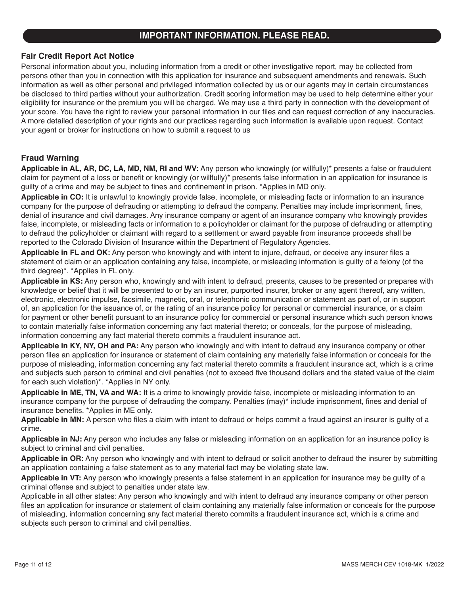### **IMPORTANT INFORMATION. PLEASE READ.**

### **Fair Credit Report Act Notice**

Personal information about you, including information from a credit or other investigative report, may be collected from persons other than you in connection with this application for insurance and subsequent amendments and renewals. Such information as well as other personal and privileged information collected by us or our agents may in certain circumstances be disclosed to third parties without your authorization. Credit scoring information may be used to help determine either your eligibility for insurance or the premium you will be charged. We may use a third party in connection with the development of your score. You have the right to review your personal information in our files and can request correction of any inaccuracies. A more detailed description of your rights and our practices regarding such information is available upon request. Contact your agent or broker for instructions on how to submit a request to us

### **Fraud Warning**

**Applicable in AL, AR, DC, LA, MD, NM, RI and WV:** Any person who knowingly (or willfully)\* presents a false or fraudulent claim for payment of a loss or benefit or knowingly (or willfully)\* presents false information in an application for insurance is guilty of a crime and may be subject to fines and confinement in prison. \*Applies in MD only.

**Applicable in CO:** It is unlawful to knowingly provide false, incomplete, or misleading facts or information to an insurance company for the purpose of defrauding or attempting to defraud the company. Penalties may include imprisonment, fines, denial of insurance and civil damages. Any insurance company or agent of an insurance company who knowingly provides false, incomplete, or misleading facts or information to a policyholder or claimant for the purpose of defrauding or attempting to defraud the policyholder or claimant with regard to a settlement or award payable from insurance proceeds shall be reported to the Colorado Division of Insurance within the Department of Regulatory Agencies.

**Applicable in FL and OK:** Any person who knowingly and with intent to injure, defraud, or deceive any insurer files a statement of claim or an application containing any false, incomplete, or misleading information is guilty of a felony (of the third degree)\*. \*Applies in FL only.

**Applicable in KS:** Any person who, knowingly and with intent to defraud, presents, causes to be presented or prepares with knowledge or belief that it will be presented to or by an insurer, purported insurer, broker or any agent thereof, any written, electronic, electronic impulse, facsimile, magnetic, oral, or telephonic communication or statement as part of, or in support of, an application for the issuance of, or the rating of an insurance policy for personal or commercial insurance, or a claim for payment or other benefit pursuant to an insurance policy for commercial or personal insurance which such person knows to contain materially false information concerning any fact material thereto; or conceals, for the purpose of misleading, information concerning any fact material thereto commits a fraudulent insurance act.

**Applicable in KY, NY, OH and PA:** Any person who knowingly and with intent to defraud any insurance company or other person files an application for insurance or statement of claim containing any materially false information or conceals for the purpose of misleading, information concerning any fact material thereto commits a fraudulent insurance act, which is a crime and subjects such person to criminal and civil penalties (not to exceed five thousand dollars and the stated value of the claim for each such violation)\*. \*Applies in NY only.

**Applicable in ME, TN, VA and WA:** It is a crime to knowingly provide false, incomplete or misleading information to an insurance company for the purpose of defrauding the company. Penalties (may)\* include imprisonment, fines and denial of insurance benefits. \*Applies in ME only.

**Applicable in MN:** A person who files a claim with intent to defraud or helps commit a fraud against an insurer is guilty of a crime.

**Applicable in NJ:** Any person who includes any false or misleading information on an application for an insurance policy is subject to criminal and civil penalties.

**Applicable in OR:** Any person who knowingly and with intent to defraud or solicit another to defraud the insurer by submitting an application containing a false statement as to any material fact may be violating state law.

**Applicable in VT:** Any person who knowingly presents a false statement in an application for insurance may be guilty of a criminal offense and subject to penalties under state law.

Applicable in all other states: Any person who knowingly and with intent to defraud any insurance company or other person files an application for insurance or statement of claim containing any materially false information or conceals for the purpose of misleading, information concerning any fact material thereto commits a fraudulent insurance act, which is a crime and subjects such person to criminal and civil penalties.